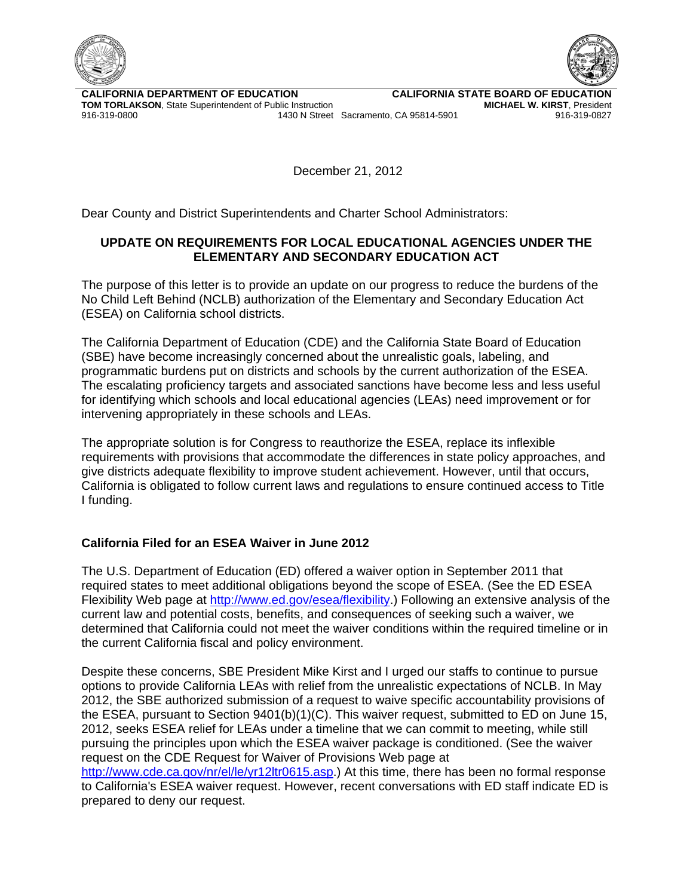



**CALIFORNIA DEPARTMENT OF EDUCATION TOM TORLAKSON**, State Superintendent of Public Instruction 916-319-0800 1430 N Street Sacramento, CA 95814-5901 916-319-0827

**CALIFORNIA STATE BOARD OF EDUCATION MICHAEL W. KIRST**, President

December 21, 2012

Dear County and District Superintendents and Charter School Administrators:

## **UPDATE ON REQUIREMENTS FOR LOCAL EDUCATIONAL AGENCIES UNDER THE ELEMENTARY AND SECONDARY EDUCATION ACT**

The purpose of this letter is to provide an update on our progress to reduce the burdens of the No Child Left Behind (NCLB) authorization of the Elementary and Secondary Education Act (ESEA) on California school districts.

The California Department of Education (CDE) and the California State Board of Education (SBE) have become increasingly concerned about the unrealistic goals, labeling, and programmatic burdens put on districts and schools by the current authorization of the ESEA. The escalating proficiency targets and associated sanctions have become less and less useful for identifying which schools and local educational agencies (LEAs) need improvement or for intervening appropriately in these schools and LEAs.

The appropriate solution is for Congress to reauthorize the ESEA, replace its inflexible requirements with provisions that accommodate the differences in state policy approaches, and give districts adequate flexibility to improve student achievement. However, until that occurs, California is obligated to follow current laws and regulations to ensure continued access to Title I funding.

## **California Filed for an ESEA Waiver in June 2012**

The U.S. Department of Education (ED) offered a waiver option in September 2011 that required states to meet additional obligations beyond the scope of ESEA. (See the ED ESEA Flexibility Web page at [http://www.ed.gov/esea/flexibility.](http://www.ed.gov/esea/flexibility)) Following an extensive analysis of the current law and potential costs, benefits, and consequences of seeking such a waiver, we determined that California could not meet the waiver conditions within the required timeline or in the current California fiscal and policy environment.

Despite these concerns, SBE President Mike Kirst and I urged our staffs to continue to pursue options to provide California LEAs with relief from the unrealistic expectations of NCLB. In May 2012, the SBE authorized submission of a request to waive specific accountability provisions of the ESEA, pursuant to Section 9401(b)(1)(C). This waiver request, submitted to ED on June 15, 2012, seeks ESEA relief for LEAs under a timeline that we can commit to meeting, while still pursuing the principles upon which the ESEA waiver package is conditioned. (See the waiver request on the CDE Request for Waiver of Provisions Web page at [http://www.cde.ca.gov/nr/el/le/yr12ltr0615.asp.](http://www.cde.ca.gov/nr/el/le/yr12ltr0615.asp)) At this time, there has been no formal response

to California's ESEA waiver request. However, recent conversations with ED staff indicate ED is prepared to deny our request.